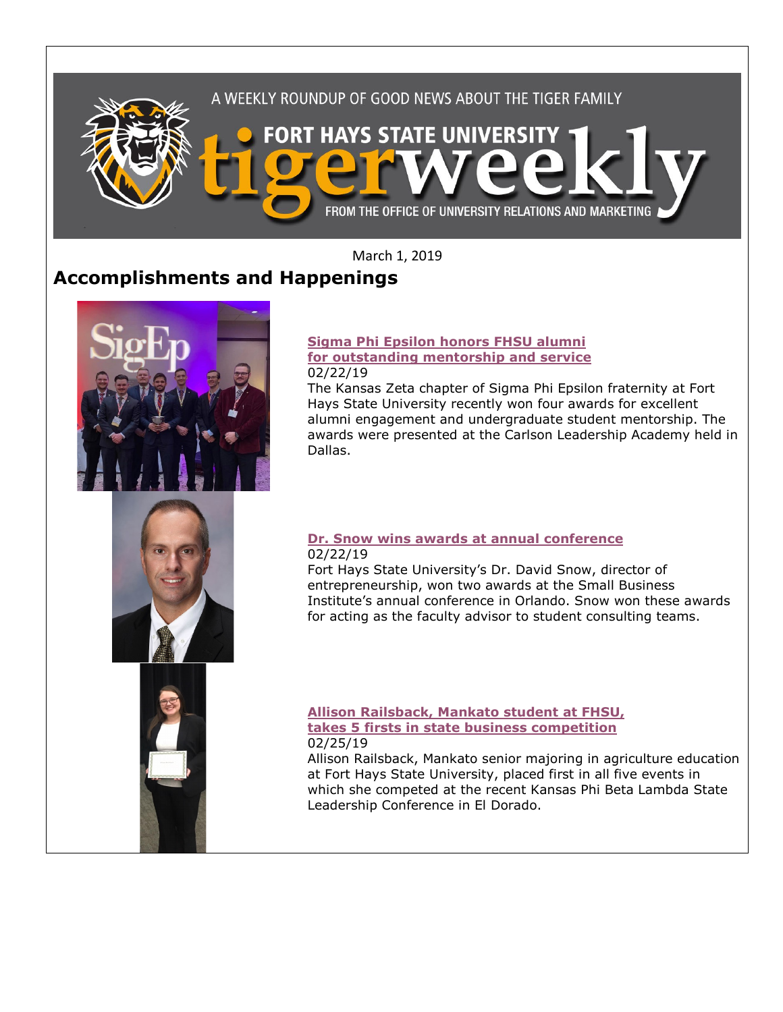

March 1, 2019

# **Accomplishments and Happenings**



#### **[Sigma Phi Epsilon honors FHSU alumni](https://www.fhsu.edu/news/2019/02/sigma-phi-epsilon-honors-fhsu-alumni-for-outstanding-mentorship-and-service)  [for outstanding mentorship and service](https://www.fhsu.edu/news/2019/02/sigma-phi-epsilon-honors-fhsu-alumni-for-outstanding-mentorship-and-service)** 02/22/19

The Kansas Zeta chapter of Sigma Phi Epsilon fraternity at Fort Hays State University recently won four awards for excellent alumni engagement and undergraduate student mentorship. The awards were presented at the Carlson Leadership Academy held in Dallas.

# **[Dr. Snow wins awards at annual conference](https://www.fhsu.edu/news/2019/02/fhsus-dr.-snow-wins-awards-at-annual-conference)** 02/22/19

Fort Hays State University's Dr. David Snow, director of entrepreneurship, won two awards at the Small Business Institute's annual conference in Orlando. Snow won these awards for acting as the faculty advisor to student consulting teams.



Allison Railsback, Mankato senior majoring in agriculture education at Fort Hays State University, placed first in all five events in which she competed at the recent Kansas Phi Beta Lambda State Leadership Conference in El Dorado.